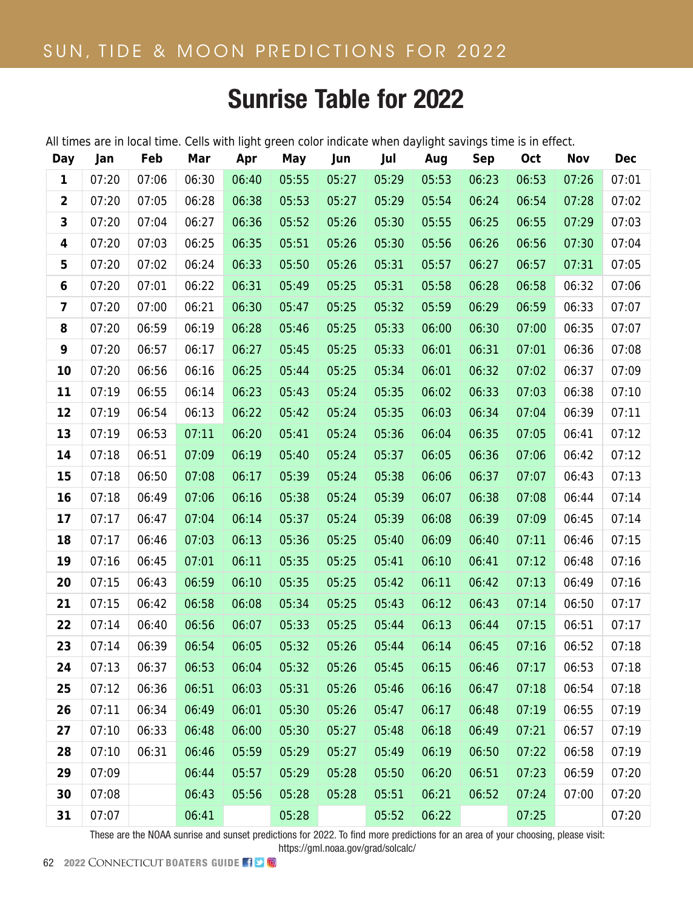## **Time Zone Offset: America/New\_York -5.0** Sunrise Table for 2022

All times are in local time. Cells with light green color indicate when daylight savings time is in effect.

| Day                     | Jan   | Feb   | Mar   | Apr   | May   | Jun   | Jul   | Aug   | <b>Sep</b> | <b>Oct</b> | <b>Nov</b> | <b>Dec</b> |
|-------------------------|-------|-------|-------|-------|-------|-------|-------|-------|------------|------------|------------|------------|
| 1                       | 07:20 | 07:06 | 06:30 | 06:40 | 05:55 | 05:27 | 05:29 | 05:53 | 06:23      | 06:53      | 07:26      | 07:01      |
| $\overline{\mathbf{c}}$ | 07:20 | 07:05 | 06:28 | 06:38 | 05:53 | 05:27 | 05:29 | 05:54 | 06:24      | 06:54      | 07:28      | 07:02      |
| 3                       | 07:20 | 07:04 | 06:27 | 06:36 | 05:52 | 05:26 | 05:30 | 05:55 | 06:25      | 06:55      | 07:29      | 07:03      |
| 4                       | 07:20 | 07:03 | 06:25 | 06:35 | 05:51 | 05:26 | 05:30 | 05:56 | 06:26      | 06:56      | 07:30      | 07:04      |
| 5                       | 07:20 | 07:02 | 06:24 | 06:33 | 05:50 | 05:26 | 05:31 | 05:57 | 06:27      | 06:57      | 07:31      | 07:05      |
| 6                       | 07:20 | 07:01 | 06:22 | 06:31 | 05:49 | 05:25 | 05:31 | 05:58 | 06:28      | 06:58      | 06:32      | 07:06      |
| 7                       | 07:20 | 07:00 | 06:21 | 06:30 | 05:47 | 05:25 | 05:32 | 05:59 | 06:29      | 06:59      | 06:33      | 07:07      |
| 8                       | 07:20 | 06:59 | 06:19 | 06:28 | 05:46 | 05:25 | 05:33 | 06:00 | 06:30      | 07:00      | 06:35      | 07:07      |
| 9                       | 07:20 | 06:57 | 06:17 | 06:27 | 05:45 | 05:25 | 05:33 | 06:01 | 06:31      | 07:01      | 06:36      | 07:08      |
| 10                      | 07:20 | 06:56 | 06:16 | 06:25 | 05:44 | 05:25 | 05:34 | 06:01 | 06:32      | 07:02      | 06:37      | 07:09      |
| 11                      | 07:19 | 06:55 | 06:14 | 06:23 | 05:43 | 05:24 | 05:35 | 06:02 | 06:33      | 07:03      | 06:38      | 07:10      |
| 12                      | 07:19 | 06:54 | 06:13 | 06:22 | 05:42 | 05:24 | 05:35 | 06:03 | 06:34      | 07:04      | 06:39      | 07:11      |
| 13                      | 07:19 | 06:53 | 07:11 | 06:20 | 05:41 | 05:24 | 05:36 | 06:04 | 06:35      | 07:05      | 06:41      | 07:12      |
| 14                      | 07:18 | 06:51 | 07:09 | 06:19 | 05:40 | 05:24 | 05:37 | 06:05 | 06:36      | 07:06      | 06:42      | 07:12      |
| 15                      | 07:18 | 06:50 | 07:08 | 06:17 | 05:39 | 05:24 | 05:38 | 06:06 | 06:37      | 07:07      | 06:43      | 07:13      |
| 16                      | 07:18 | 06:49 | 07:06 | 06:16 | 05:38 | 05:24 | 05:39 | 06:07 | 06:38      | 07:08      | 06:44      | 07:14      |
| 17                      | 07:17 | 06:47 | 07:04 | 06:14 | 05:37 | 05:24 | 05:39 | 06:08 | 06:39      | 07:09      | 06:45      | 07:14      |
| 18                      | 07:17 | 06:46 | 07:03 | 06:13 | 05:36 | 05:25 | 05:40 | 06:09 | 06:40      | 07:11      | 06:46      | 07:15      |
| 19                      | 07:16 | 06:45 | 07:01 | 06:11 | 05:35 | 05:25 | 05:41 | 06:10 | 06:41      | 07:12      | 06:48      | 07:16      |
| 20                      | 07:15 | 06:43 | 06:59 | 06:10 | 05:35 | 05:25 | 05:42 | 06:11 | 06:42      | 07:13      | 06:49      | 07:16      |
| 21                      | 07:15 | 06:42 | 06:58 | 06:08 | 05:34 | 05:25 | 05:43 | 06:12 | 06:43      | 07:14      | 06:50      | 07:17      |
| 22                      | 07:14 | 06:40 | 06:56 | 06:07 | 05:33 | 05:25 | 05:44 | 06:13 | 06:44      | 07:15      | 06:51      | 07:17      |
| 23                      | 07:14 | 06:39 | 06:54 | 06:05 | 05:32 | 05:26 | 05:44 | 06:14 | 06:45      | 07:16      | 06:52      | 07:18      |
| 24                      | 07:13 | 06:37 | 06:53 | 06:04 | 05:32 | 05:26 | 05:45 | 06:15 | 06:46      | 07:17      | 06:53      | 07:18      |
| 25                      | 07:12 | 06:36 | 06:51 | 06:03 | 05:31 | 05:26 | 05:46 | 06:16 | 06:47      | 07:18      | 06:54      | 07:18      |
| 26                      | 07:11 | 06:34 | 06:49 | 06:01 | 05:30 | 05:26 | 05:47 | 06:17 | 06:48      | 07:19      | 06:55      | 07:19      |
| 27                      | 07:10 | 06:33 | 06:48 | 06:00 | 05:30 | 05:27 | 05:48 | 06:18 | 06:49      | 07:21      | 06:57      | 07:19      |
| 28                      | 07:10 | 06:31 | 06:46 | 05:59 | 05:29 | 05:27 | 05:49 | 06:19 | 06:50      | 07:22      | 06:58      | 07:19      |
| 29                      | 07:09 |       | 06:44 | 05:57 | 05:29 | 05:28 | 05:50 | 06:20 | 06:51      | 07:23      | 06:59      | 07:20      |
| 30                      | 07:08 |       | 06:43 | 05:56 | 05:28 | 05:28 | 05:51 | 06:21 | 06:52      | 07:24      | 07:00      | 07:20      |
| 31                      | 07:07 |       | 06:41 |       | 05:28 |       | 05:52 | 06:22 |            | 07:25      |            | 07:20      |

These are the NOAA sunrise and sunset predictions for 2022. To find more predictions for an area of your choosing, please visit:

https://gml.noaa.gov/grad/solcalc/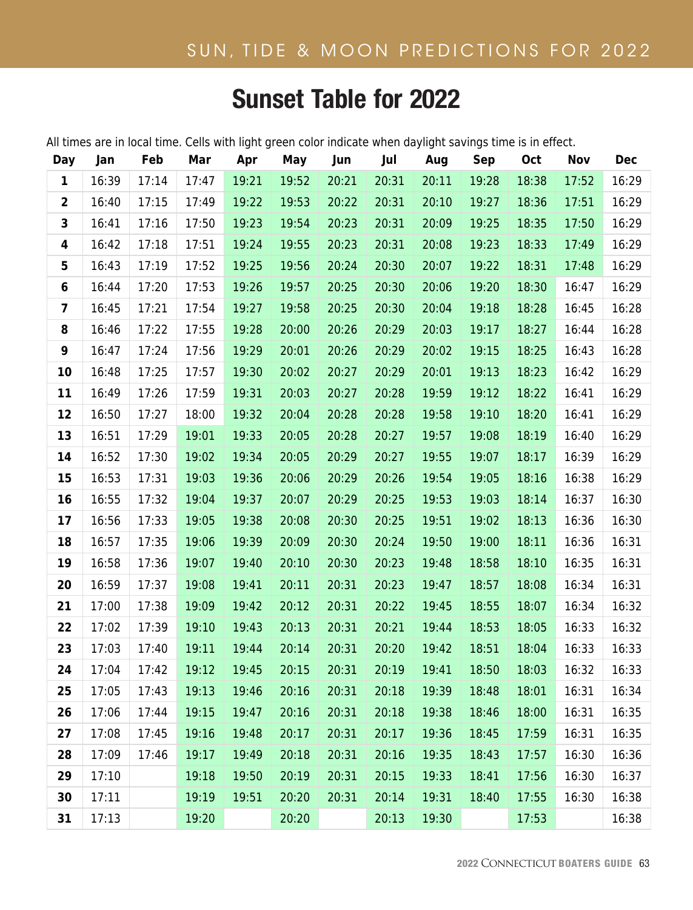## **Time Zone Offset: America/New\_York -5.0** Sunset Table for 2022

All times are in local time. Cells with light green color indicate when daylight savings time is in effect.

| Day                     | Jan   | Feb   | Mar   | Apr   | May   | Jun   | Jul   | Aug   | <b>Sep</b> | Oct   | Nov   | <b>Dec</b> |
|-------------------------|-------|-------|-------|-------|-------|-------|-------|-------|------------|-------|-------|------------|
| $\mathbf{1}$            | 16:39 | 17:14 | 17:47 | 19:21 | 19:52 | 20:21 | 20:31 | 20:11 | 19:28      | 18:38 | 17:52 | 16:29      |
| $\overline{\mathbf{2}}$ | 16:40 | 17:15 | 17:49 | 19:22 | 19:53 | 20:22 | 20:31 | 20:10 | 19:27      | 18:36 | 17:51 | 16:29      |
| 3                       | 16:41 | 17:16 | 17:50 | 19:23 | 19:54 | 20:23 | 20:31 | 20:09 | 19:25      | 18:35 | 17:50 | 16:29      |
| 4                       | 16:42 | 17:18 | 17:51 | 19:24 | 19:55 | 20:23 | 20:31 | 20:08 | 19:23      | 18:33 | 17:49 | 16:29      |
| 5                       | 16:43 | 17:19 | 17:52 | 19:25 | 19:56 | 20:24 | 20:30 | 20:07 | 19:22      | 18:31 | 17:48 | 16:29      |
| 6                       | 16:44 | 17:20 | 17:53 | 19:26 | 19:57 | 20:25 | 20:30 | 20:06 | 19:20      | 18:30 | 16:47 | 16:29      |
| 7                       | 16:45 | 17:21 | 17:54 | 19:27 | 19:58 | 20:25 | 20:30 | 20:04 | 19:18      | 18:28 | 16:45 | 16:28      |
| 8                       | 16:46 | 17:22 | 17:55 | 19:28 | 20:00 | 20:26 | 20:29 | 20:03 | 19:17      | 18:27 | 16:44 | 16:28      |
| 9                       | 16:47 | 17:24 | 17:56 | 19:29 | 20:01 | 20:26 | 20:29 | 20:02 | 19:15      | 18:25 | 16:43 | 16:28      |
| 10                      | 16:48 | 17:25 | 17:57 | 19:30 | 20:02 | 20:27 | 20:29 | 20:01 | 19:13      | 18:23 | 16:42 | 16:29      |
| 11                      | 16:49 | 17:26 | 17:59 | 19:31 | 20:03 | 20:27 | 20:28 | 19:59 | 19:12      | 18:22 | 16:41 | 16:29      |
| 12                      | 16:50 | 17:27 | 18:00 | 19:32 | 20:04 | 20:28 | 20:28 | 19:58 | 19:10      | 18:20 | 16:41 | 16:29      |
| 13                      | 16:51 | 17:29 | 19:01 | 19:33 | 20:05 | 20:28 | 20:27 | 19:57 | 19:08      | 18:19 | 16:40 | 16:29      |
| 14                      | 16:52 | 17:30 | 19:02 | 19:34 | 20:05 | 20:29 | 20:27 | 19:55 | 19:07      | 18:17 | 16:39 | 16:29      |
| 15                      | 16:53 | 17:31 | 19:03 | 19:36 | 20:06 | 20:29 | 20:26 | 19:54 | 19:05      | 18:16 | 16:38 | 16:29      |
| 16                      | 16:55 | 17:32 | 19:04 | 19:37 | 20:07 | 20:29 | 20:25 | 19:53 | 19:03      | 18:14 | 16:37 | 16:30      |
| 17                      | 16:56 | 17:33 | 19:05 | 19:38 | 20:08 | 20:30 | 20:25 | 19:51 | 19:02      | 18:13 | 16:36 | 16:30      |
| 18                      | 16:57 | 17:35 | 19:06 | 19:39 | 20:09 | 20:30 | 20:24 | 19:50 | 19:00      | 18:11 | 16:36 | 16:31      |
| 19                      | 16:58 | 17:36 | 19:07 | 19:40 | 20:10 | 20:30 | 20:23 | 19:48 | 18:58      | 18:10 | 16:35 | 16:31      |
| 20                      | 16:59 | 17:37 | 19:08 | 19:41 | 20:11 | 20:31 | 20:23 | 19:47 | 18:57      | 18:08 | 16:34 | 16:31      |
| 21                      | 17:00 | 17:38 | 19:09 | 19:42 | 20:12 | 20:31 | 20:22 | 19:45 | 18:55      | 18:07 | 16:34 | 16:32      |
| 22                      | 17:02 | 17:39 | 19:10 | 19:43 | 20:13 | 20:31 | 20:21 | 19:44 | 18:53      | 18:05 | 16:33 | 16:32      |
| 23                      | 17:03 | 17:40 | 19:11 | 19:44 | 20:14 | 20:31 | 20:20 | 19:42 | 18:51      | 18:04 | 16:33 | 16:33      |
| 24                      | 17:04 | 17:42 | 19:12 | 19:45 | 20:15 | 20:31 | 20:19 | 19:41 | 18:50      | 18:03 | 16:32 | 16:33      |
| 25                      | 17:05 | 17:43 | 19:13 | 19:46 | 20:16 | 20:31 | 20:18 | 19:39 | 18:48      | 18:01 | 16:31 | 16:34      |
| 26                      | 17:06 | 17:44 | 19:15 | 19:47 | 20:16 | 20:31 | 20:18 | 19:38 | 18:46      | 18:00 | 16:31 | 16:35      |
| 27                      | 17:08 | 17:45 | 19:16 | 19:48 | 20:17 | 20:31 | 20:17 | 19:36 | 18:45      | 17:59 | 16:31 | 16:35      |
| 28                      | 17:09 | 17:46 | 19:17 | 19:49 | 20:18 | 20:31 | 20:16 | 19:35 | 18:43      | 17:57 | 16:30 | 16:36      |
| 29                      | 17:10 |       | 19:18 | 19:50 | 20:19 | 20:31 | 20:15 | 19:33 | 18:41      | 17:56 | 16:30 | 16:37      |
| 30                      | 17:11 |       | 19:19 | 19:51 | 20:20 | 20:31 | 20:14 | 19:31 | 18:40      | 17:55 | 16:30 | 16:38      |
| 31                      | 17:13 |       | 19:20 |       | 20:20 |       | 20:13 | 19:30 |            | 17:53 |       | 16:38      |